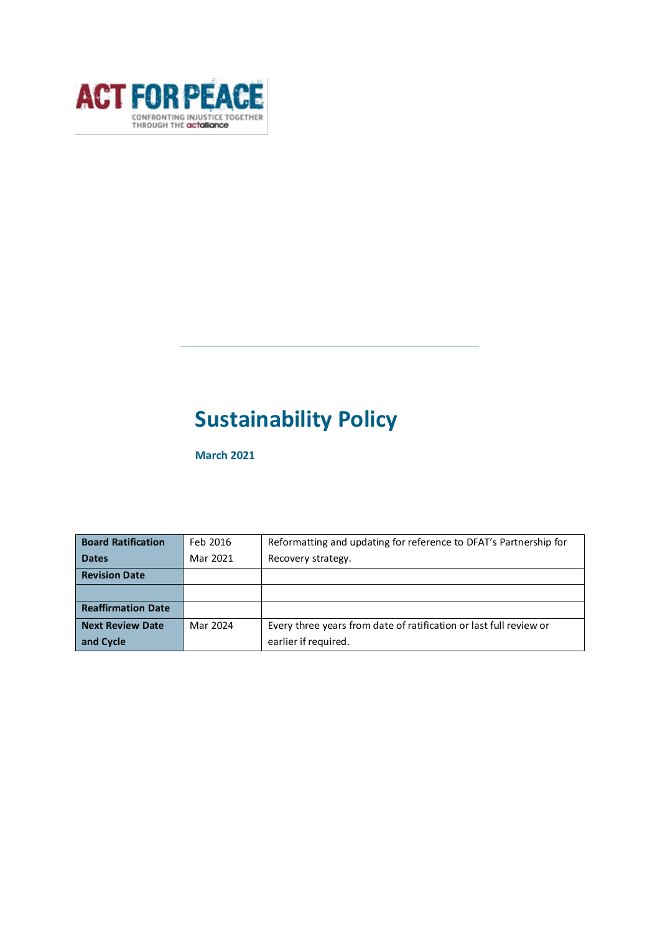

# **Sustainability Policy**

**March 2021**

| <b>Board Ratification</b> | Feb 2016 | Reformatting and updating for reference to DFAT's Partnership for  |
|---------------------------|----------|--------------------------------------------------------------------|
| <b>Dates</b>              | Mar 2021 | Recovery strategy.                                                 |
| <b>Revision Date</b>      |          |                                                                    |
|                           |          |                                                                    |
| <b>Reaffirmation Date</b> |          |                                                                    |
| <b>Next Review Date</b>   | Mar 2024 | Every three years from date of ratification or last full review or |
| and Cycle                 |          | earlier if required.                                               |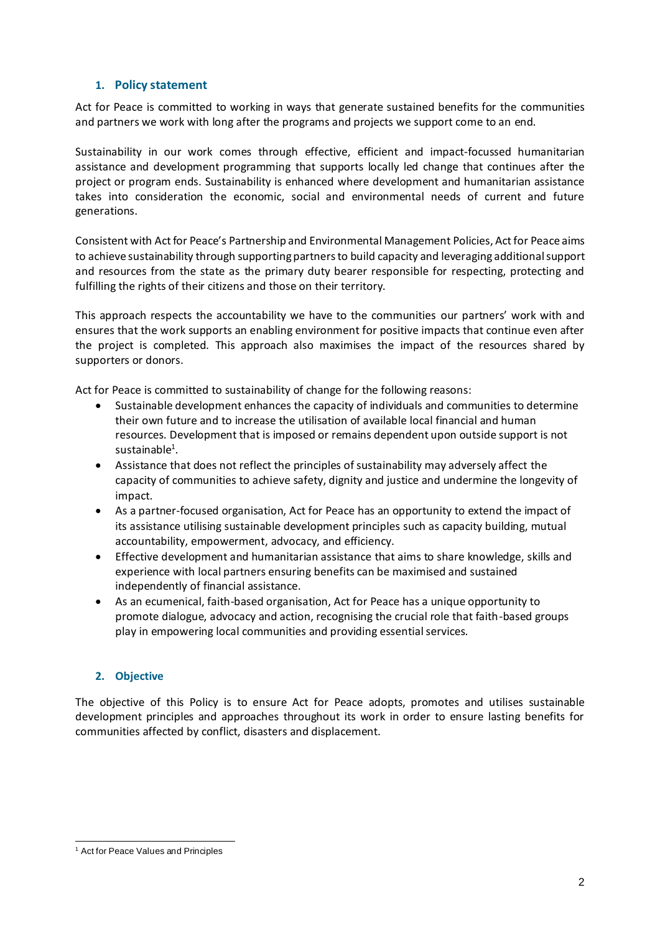# **1. Policy statement**

Act for Peace is committed to working in ways that generate sustained benefits for the communities and partners we work with long after the programs and projects we support come to an end.

Sustainability in our work comes through effective, efficient and impact-focussed humanitarian assistance and development programming that supports locally led change that continues after the project or program ends. Sustainability is enhanced where development and humanitarian assistance takes into consideration the economic, social and environmental needs of current and future generations.

Consistent with Act for Peace's Partnership and Environmental Management Policies, Act for Peace aims to achieve sustainability through supporting partners to build capacity and leveraging additional support and resources from the state as the primary duty bearer responsible for respecting, protecting and fulfilling the rights of their citizens and those on their territory.

This approach respects the accountability we have to the communities our partners' work with and ensures that the work supports an enabling environment for positive impacts that continue even after the project is completed. This approach also maximises the impact of the resources shared by supporters or donors.

Act for Peace is committed to sustainability of change for the following reasons:

- Sustainable development enhances the capacity of individuals and communities to determine their own future and to increase the utilisation of available local financial and human resources. Development that is imposed or remains dependent upon outside support is not sustainable $^1$ .
- Assistance that does not reflect the principles of sustainability may adversely affect the capacity of communities to achieve safety, dignity and justice and undermine the longevity of impact.
- As a partner-focused organisation, Act for Peace has an opportunity to extend the impact of its assistance utilising sustainable development principles such as capacity building, mutual accountability, empowerment, advocacy, and efficiency.
- Effective development and humanitarian assistance that aims to share knowledge, skills and experience with local partners ensuring benefits can be maximised and sustained independently of financial assistance.
- As an ecumenical, faith-based organisation, Act for Peace has a unique opportunity to promote dialogue, advocacy and action, recognising the crucial role that faith-based groups play in empowering local communities and providing essential services.

# **2. Objective**

The objective of this Policy is to ensure Act for Peace adopts, promotes and utilises sustainable development principles and approaches throughout its work in order to ensure lasting benefits for communities affected by conflict, disasters and displacement.

<sup>&</sup>lt;sup>1</sup> Act for Peace Values and Principles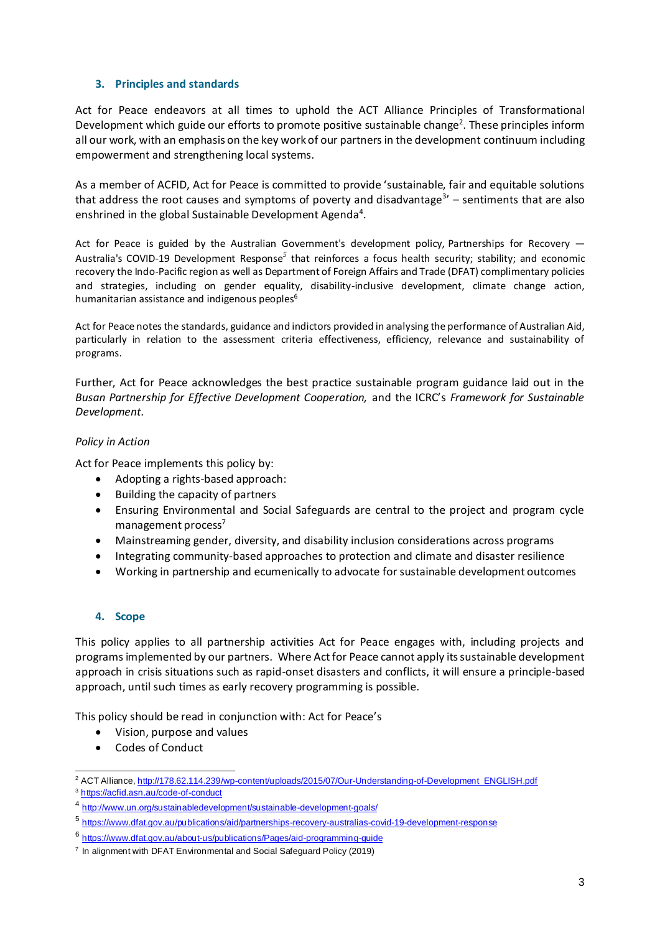#### **3. Principles and standards**

Act for Peace endeavors at all times to uphold the ACT Alliance Principles of Transformational Development which guide our efforts to promote positive sustainable change<sup>2</sup>. These principles inform all our work, with an emphasis on the key work of our partners in the development continuum including empowerment and strengthening local systems.

As a member of ACFID, Act for Peace is committed to provide 'sustainable, fair and equitable solutions that address the root causes and symptoms of poverty and disadvantage<sup>3</sup>' – sentiments that are also enshrined in the global Sustainable Development Agenda<sup>4</sup>.

Act for Peace is guided by the Australian Government's development policy, [Partnerships for Recovery](https://www.dfat.gov.au/publications/aid/partnerships-recovery-australias-covid-19-development-response) — [Australia's COVID-19 Development Response](https://www.dfat.gov.au/publications/aid/partnerships-recovery-australias-covid-19-development-response)*<sup>5</sup>* that reinforces a focus health security; stability; and economic recovery the Indo-Pacific region as well as Department of Foreign Affairs and Trade (DFAT) complimentary policies and strategies, including on gender equality, disability-inclusive development, climate change action, humanitarian assistance and indigenous peoples<sup>6</sup>

Act for Peace notes the standards, guidance and indictors provided in analysing the performance of Australian Aid, particularly in relation to the assessment criteria effectiveness, efficiency, relevance and sustainability of programs.

Further, Act for Peace acknowledges the best practice sustainable program guidance laid out in the *Busan Partnership for Effective Development Cooperation,* and the ICRC's *Framework for Sustainable Development*.

## *Policy in Action*

Act for Peace implements this policy by:

- Adopting a rights-based approach:
- Building the capacity of partners
- Ensuring Environmental and Social Safeguards are central to the project and program cycle management process $'$
- Mainstreaming gender, diversity, and disability inclusion considerations across programs
- Integrating community-based approaches to protection and climate and disaster resilience
- Working in partnership and ecumenically to advocate for sustainable development outcomes

### **4. Scope**

This policy applies to all partnership activities Act for Peace engages with, including projects and programs implemented by our partners. Where Act for Peace cannot apply its sustainable development approach in crisis situations such as rapid-onset disasters and conflicts, it will ensure a principle-based approach, until such times as early recovery programming is possible.

This policy should be read in conjunction with: Act for Peace's

- Vision, purpose and values
- Codes of Conduct

<sup>2</sup> ACT Alliance[, http://178.62.114.239/wp-content/uploads/2015/07/Our-Understanding-of-Development\\_ENGLISH.pdf](http://178.62.114.239/wp-content/uploads/2015/07/Our-Understanding-of-Development_ENGLISH.pdf)

<sup>3</sup> <https://acfid.asn.au/code-of-conduct>

<sup>4</sup> <http://www.un.org/sustainabledevelopment/sustainable-development-goals/>

<sup>&</sup>lt;sup>5</sup> https://www.dfat.gov.au/publications/aid/partnerships-recovery-australias-covid-19-development-response

<sup>6</sup> https://www.dfat.gov.au/about-us/publications/Pages/aid-programming-guide

<sup>&</sup>lt;sup>7</sup> In alignment with DFAT Environmental and Social Safeguard Policy (2019)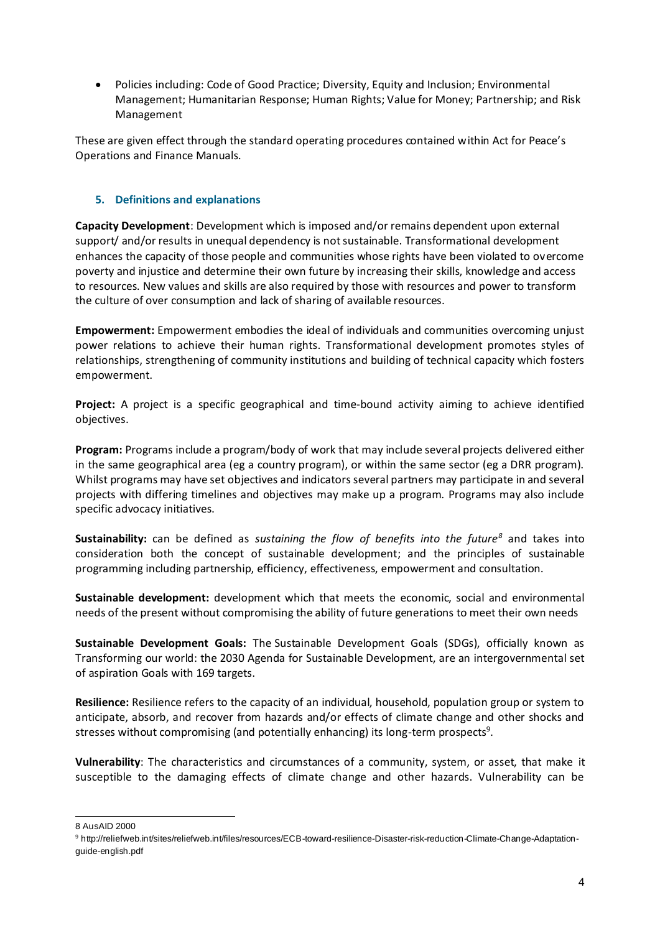• Policies including: Code of Good Practice; Diversity, Equity and Inclusion; Environmental Management; Humanitarian Response; Human Rights; Value for Money; Partnership; and Risk Management

These are given effect through the standard operating procedures contained within Act for Peace's Operations and Finance Manuals.

# **5. Definitions and explanations**

**Capacity Development**: Development which is imposed and/or remains dependent upon external support/ and/or results in unequal dependency is not sustainable. Transformational development enhances the capacity of those people and communities whose rights have been violated to overcome poverty and injustice and determine their own future by increasing their skills, knowledge and access to resources. New values and skills are also required by those with resources and power to transform the culture of over consumption and lack of sharing of available resources.

**Empowerment:** Empowerment embodies the ideal of individuals and communities overcoming unjust power relations to achieve their human rights. Transformational development promotes styles of relationships, strengthening of community institutions and building of technical capacity which fosters empowerment.

**Project:** A project is a specific geographical and time-bound activity aiming to achieve identified objectives.

**Program:** Programs include a program/body of work that may include several projects delivered either in the same geographical area (eg a country program), or within the same sector (eg a DRR program). Whilst programs may have set objectives and indicators several partners may participate in and several projects with differing timelines and objectives may make up a program. Programs may also include specific advocacy initiatives.

**Sustainability:** can be defined as *sustaining the flow of benefits into the future<sup>8</sup>* and takes into consideration both the concept of sustainable development; and the principles of sustainable programming including partnership, efficiency, effectiveness, empowerment and consultation.

**Sustainable development:** development which that meets the economic, social and environmental needs of the present without compromising the ability of future generations to meet their own needs

**Sustainable Development Goals:** The Sustainable Development Goals (SDGs), officially known as Transforming our world: the 2030 Agenda for Sustainable Development, are an intergovernmental set of aspiration Goals with 169 targets.

**Resilience:** Resilience refers to the capacity of an individual, household, population group or system to anticipate, absorb, and recover from hazards and/or effects of climate change and other shocks and stresses without compromising (and potentially enhancing) its long-term prospects<sup>9</sup>.

**Vulnerability**: The characteristics and circumstances of a community, system, or asset, that make it susceptible to the damaging effects of climate change and other hazards. Vulnerability can be

<sup>8</sup> AusAID 2000

<sup>9</sup> http://reliefweb.int/sites/reliefweb.int/files/resources/ECB-toward-resilience-Disaster-risk-reduction-Climate-Change-Adaptationguide-english.pdf